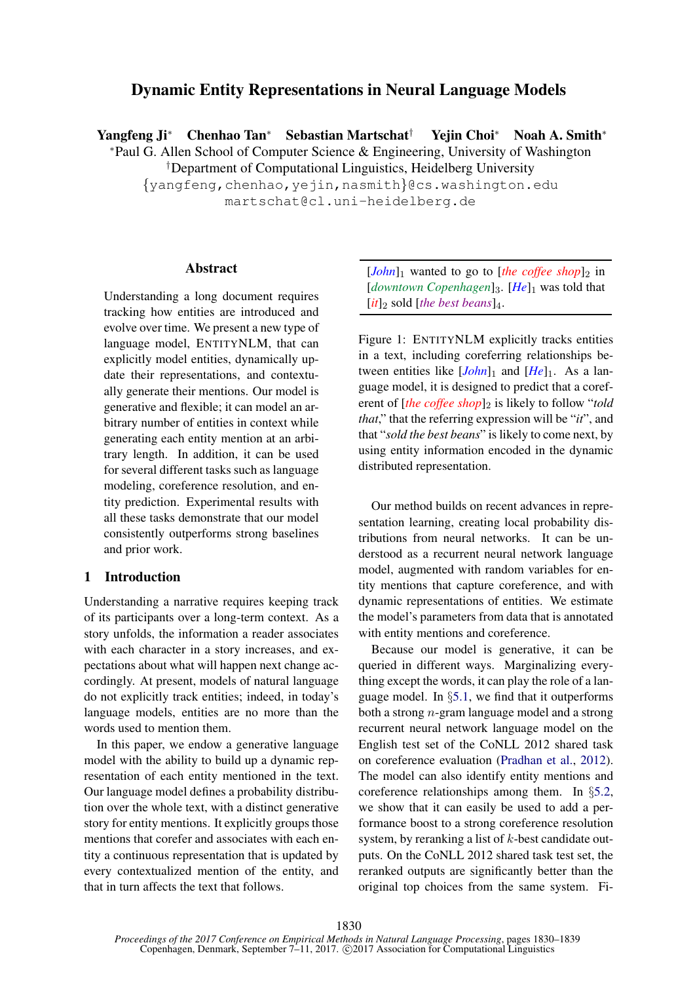# Dynamic Entity Representations in Neural Language Models

Yangfeng Ji<sup>∗</sup> Chenhao Tan<sup>∗</sup> Sebastian Martschat† Yejin Choi<sup>∗</sup> Noah A. Smith<sup>∗</sup>

<sup>∗</sup>Paul G. Allen School of Computer Science & Engineering, University of Washington

†Department of Computational Linguistics, Heidelberg University

{yangfeng,chenhao,yejin,nasmith}@cs.washington.edu martschat@cl.uni-heidelberg.de

### Abstract

Understanding a long document requires tracking how entities are introduced and evolve over time. We present a new type of language model, ENTITYNLM, that can explicitly model entities, dynamically update their representations, and contextually generate their mentions. Our model is generative and flexible; it can model an arbitrary number of entities in context while generating each entity mention at an arbitrary length. In addition, it can be used for several different tasks such as language modeling, coreference resolution, and entity prediction. Experimental results with all these tasks demonstrate that our model consistently outperforms strong baselines and prior work.

### 1 Introduction

Understanding a narrative requires keeping track of its participants over a long-term context. As a story unfolds, the information a reader associates with each character in a story increases, and expectations about what will happen next change accordingly. At present, models of natural language do not explicitly track entities; indeed, in today's language models, entities are no more than the words used to mention them.

In this paper, we endow a generative language model with the ability to build up a dynamic representation of each entity mentioned in the text. Our language model defines a probability distribution over the whole text, with a distinct generative story for entity mentions. It explicitly groups those mentions that corefer and associates with each entity a continuous representation that is updated by every contextualized mention of the entity, and that in turn affects the text that follows.

 $[John]_1$  wanted to go to [*the coffee shop*]<sub>2</sub> in [*downtown Copenhagen*]<sub>3</sub>. [He]<sub>1</sub> was told that  $[it]_2$  sold  $[the best beans]_4$ .

Figure 1: ENTITYNLM explicitly tracks entities in a text, including coreferring relationships between entities like  $[John]_1$  and  $[He]_1$ . As a language model, it is designed to predict that a coreferent of [*the coffee shop*]<sub>2</sub> is likely to follow "*told that*," that the referring expression will be "*it*", and that "*sold the best beans*" is likely to come next, by using entity information encoded in the dynamic distributed representation.

Our method builds on recent advances in representation learning, creating local probability distributions from neural networks. It can be understood as a recurrent neural network language model, augmented with random variables for entity mentions that capture coreference, and with dynamic representations of entities. We estimate the model's parameters from data that is annotated with entity mentions and coreference.

Because our model is generative, it can be queried in different ways. Marginalizing everything except the words, it can play the role of a language model. In §5.1, we find that it outperforms both a strong  $n$ -gram language model and a strong recurrent neural network language model on the English test set of the CoNLL 2012 shared task on coreference evaluation (Pradhan et al., 2012). The model can also identify entity mentions and coreference relationships among them. In §5.2, we show that it can easily be used to add a performance boost to a strong coreference resolution system, by reranking a list of k-best candidate outputs. On the CoNLL 2012 shared task test set, the reranked outputs are significantly better than the original top choices from the same system. Fi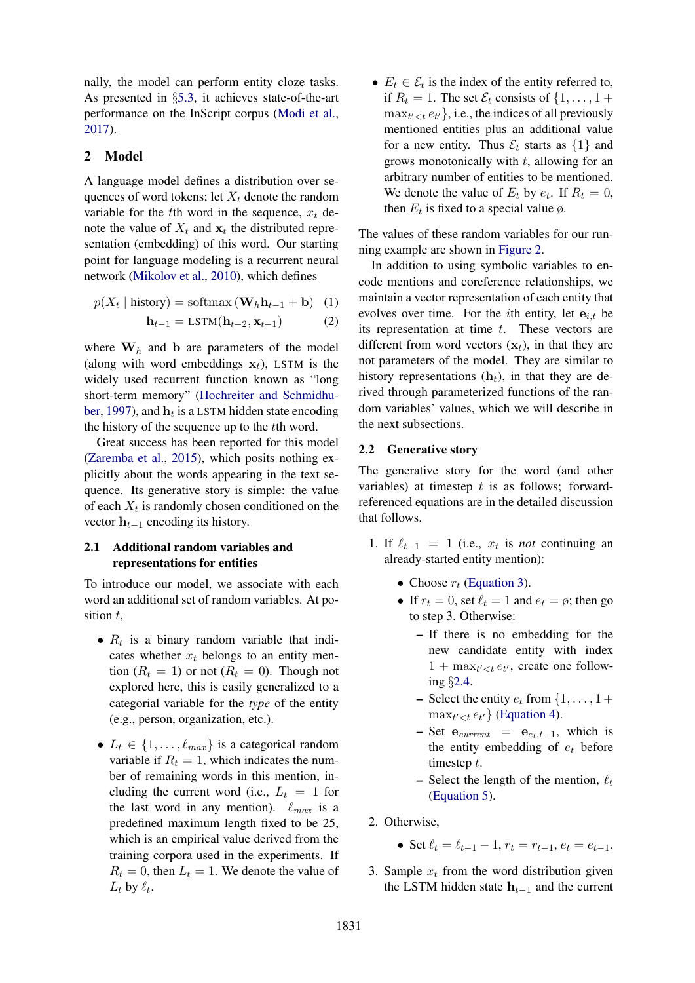nally, the model can perform entity cloze tasks. As presented in §5.3, it achieves state-of-the-art performance on the InScript corpus (Modi et al., 2017).

### 2 Model

A language model defines a distribution over sequences of word tokens; let  $X_t$  denote the random variable for the tth word in the sequence,  $x_t$  denote the value of  $X_t$  and  $X_t$  the distributed representation (embedding) of this word. Our starting point for language modeling is a recurrent neural network (Mikolov et al., 2010), which defines

$$
p(X_t | \text{history}) = \text{softmax}(\mathbf{W}_h \mathbf{h}_{t-1} + \mathbf{b}) \quad (1)
$$

$$
\mathbf{h}_{t-1} = \text{LSTM}(\mathbf{h}_{t-2}, \mathbf{x}_{t-1})
$$
 (2)

where  $W_h$  and b are parameters of the model (along with word embeddings  $x_t$ ), LSTM is the widely used recurrent function known as "long short-term memory" (Hochreiter and Schmidhuber, 1997), and  $\mathbf{h}_t$  is a LSTM hidden state encoding the history of the sequence up to the tth word.

Great success has been reported for this model (Zaremba et al., 2015), which posits nothing explicitly about the words appearing in the text sequence. Its generative story is simple: the value of each  $X_t$  is randomly chosen conditioned on the vector  $h_{t-1}$  encoding its history.

### 2.1 Additional random variables and representations for entities

To introduce our model, we associate with each word an additional set of random variables. At position  $t$ ,

- $R_t$  is a binary random variable that indicates whether  $x_t$  belongs to an entity mention  $(R_t = 1)$  or not  $(R_t = 0)$ . Though not explored here, this is easily generalized to a categorial variable for the *type* of the entity (e.g., person, organization, etc.).
- $L_t \in \{1, \ldots, \ell_{max}\}\$ is a categorical random variable if  $R_t = 1$ , which indicates the number of remaining words in this mention, including the current word (i.e.,  $L_t = 1$  for the last word in any mention).  $\ell_{max}$  is a predefined maximum length fixed to be 25, which is an empirical value derived from the training corpora used in the experiments. If  $R_t = 0$ , then  $L_t = 1$ . We denote the value of  $L_t$  by  $\ell_t$ .

•  $E_t \in \mathcal{E}_t$  is the index of the entity referred to, if  $R_t = 1$ . The set  $\mathcal{E}_t$  consists of  $\{1, \ldots, 1 +$  $\max_{t' < t} e_{t'}$ , i.e., the indices of all previously mentioned entities plus an additional value for a new entity. Thus  $\mathcal{E}_t$  starts as  $\{1\}$  and grows monotonically with  $t$ , allowing for an arbitrary number of entities to be mentioned. We denote the value of  $E_t$  by  $e_t$ . If  $R_t = 0$ , then  $E_t$  is fixed to a special value  $\emptyset$ .

The values of these random variables for our running example are shown in Figure 2.

In addition to using symbolic variables to encode mentions and coreference relationships, we maintain a vector representation of each entity that evolves over time. For the *i*th entity, let  $e_{i,t}$  be its representation at time  $t$ . These vectors are different from word vectors  $(x_t)$ , in that they are not parameters of the model. They are similar to history representations  $(h_t)$ , in that they are derived through parameterized functions of the random variables' values, which we will describe in the next subsections.

### 2.2 Generative story

The generative story for the word (and other variables) at timestep  $t$  is as follows; forwardreferenced equations are in the detailed discussion that follows.

- 1. If  $\ell_{t-1} = 1$  (i.e.,  $x_t$  is *not* continuing an already-started entity mention):
	- Choose  $r_t$  (Equation 3).
	- If  $r_t = 0$ , set  $\ell_t = 1$  and  $e_t = \emptyset$ ; then go to step 3. Otherwise:
		- If there is no embedding for the new candidate entity with index  $1 + \max_{t' < t} e_{t'}$ , create one following §2.4.
		- Select the entity  $e_t$  from  $\{1, \ldots, 1 +$  $\max_{t' < t} e_{t'}$  (Equation 4).
		- Set  $e_{current} = e_{e_t,t-1}$ , which is the entity embedding of  $e_t$  before timestep t.
		- Select the length of the mention,  $\ell_t$ (Equation 5).
- 2. Otherwise,
	- Set  $\ell_t = \ell_{t-1} 1$ ,  $r_t = r_{t-1}$ ,  $e_t = e_{t-1}$ .
- 3. Sample  $x_t$  from the word distribution given the LSTM hidden state  $h_{t-1}$  and the current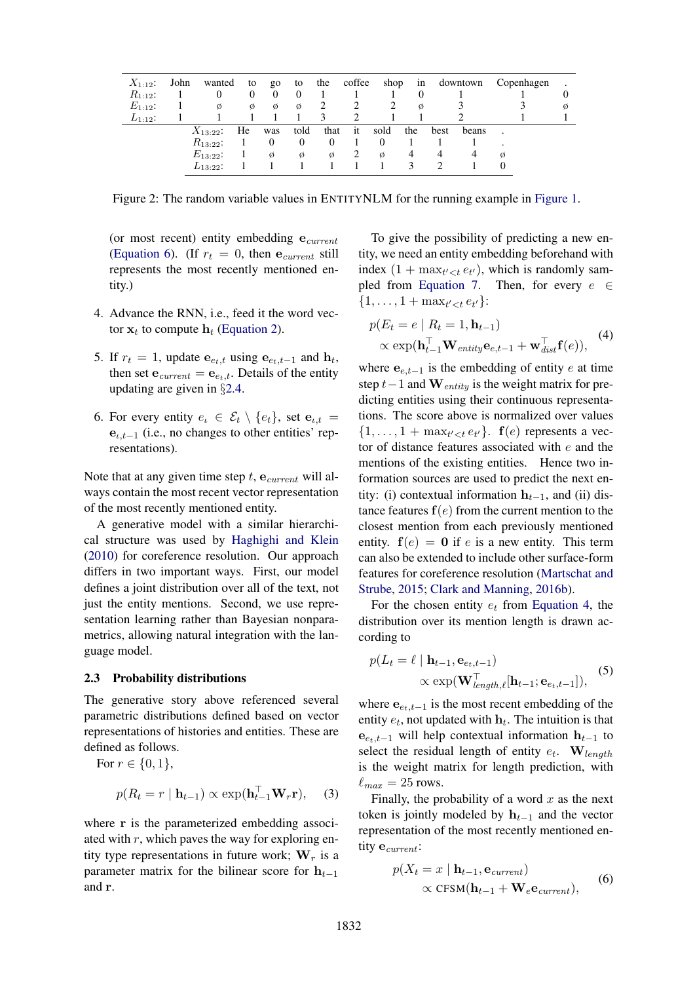| $X_{1:12}$ : | John | wanted        | to       | $g_0$    | to       |                | the coffee   | shop | 1n       |      | downtown | Copenhagen |   |
|--------------|------|---------------|----------|----------|----------|----------------|--------------|------|----------|------|----------|------------|---|
| $R_{1:12}$ : |      | 0             | $\Omega$ | $\theta$ |          |                |              |      | $\Omega$ |      |          |            |   |
| $E_{1:12}$ : |      | Ø             | Ø        | Ø        | Ø        |                |              |      | Ø        |      |          |            | Ø |
| $L_{1:12}$ : |      |               |          |          |          |                |              |      |          |      |          |            |   |
|              |      | $X_{13:22}$ : | He       | was      | told     | that           | $-$ it       | sold | the      | best | beans    |            |   |
|              |      | $R_{13:22}$ : |          |          | $\theta$ | $\overline{0}$ |              |      |          |      |          |            |   |
|              |      | $E_{13:22}$ : |          | Ø        | Ø        | Ø              | <sup>2</sup> | Ø    | 4        | 4    | 4        | Ø          |   |
|              |      | $L_{13:22}$ : |          |          |          |                |              |      |          |      |          |            |   |

Figure 2: The random variable values in ENTITYNLM for the running example in Figure 1.

(or most recent) entity embedding  $e_{current}$ (Equation 6). (If  $r_t = 0$ , then  $e_{current}$  still represents the most recently mentioned entity.)

- 4. Advance the RNN, i.e., feed it the word vector  $x_t$  to compute  $h_t$  (Equation 2).
- 5. If  $r_t = 1$ , update  $e_{e_t,t}$  using  $e_{e_t,t-1}$  and  $h_t$ , then set  $e_{current} = e_{e_t,t}$ . Details of the entity updating are given in §2.4.
- 6. For every entity  $e_t \in \mathcal{E}_t \setminus \{e_t\}$ , set  $e_{t,t}$  =  $e_{i,t-1}$  (i.e., no changes to other entities' representations).

Note that at any given time step  $t$ ,  $e_{current}$  will always contain the most recent vector representation of the most recently mentioned entity.

A generative model with a similar hierarchical structure was used by Haghighi and Klein (2010) for coreference resolution. Our approach differs in two important ways. First, our model defines a joint distribution over all of the text, not just the entity mentions. Second, we use representation learning rather than Bayesian nonparametrics, allowing natural integration with the language model.

#### 2.3 Probability distributions

The generative story above referenced several parametric distributions defined based on vector representations of histories and entities. These are defined as follows.

For 
$$
r \in \{0, 1\}
$$
,  
\n
$$
p(R_t = r | \mathbf{h}_{t-1}) \propto \exp(\mathbf{h}_{t-1}^\top \mathbf{W}_r \mathbf{r}), \quad (3)
$$

where r is the parameterized embedding associated with  $r$ , which paves the way for exploring entity type representations in future work;  $W_r$  is a parameter matrix for the bilinear score for  $h_{t-1}$ and r.

To give the possibility of predicting a new entity, we need an entity embedding beforehand with index  $(1 + \max_{t' < t} e_{t'})$ , which is randomly sampled from Equation 7. Then, for every  $e \in$  $\{1, \ldots, 1 + \max_{t' < t} e_{t'}\}$ :

$$
p(E_t = e | R_t = 1, \mathbf{h}_{t-1})
$$
  
 
$$
\propto \exp(\mathbf{h}_{t-1}^\top \mathbf{W}_{entity} \mathbf{e}_{e,t-1} + \mathbf{w}_{dist}^\top \mathbf{f}(e)),
$$
 (4)

where  $e_{e,t-1}$  is the embedding of entity e at time step  $t-1$  and  $\mathbf{W}_{entity}$  is the weight matrix for predicting entities using their continuous representations. The score above is normalized over values  $\{1,\ldots,1+\max_{t'.  $f(e)$  represents a vec$ tor of distance features associated with e and the mentions of the existing entities. Hence two information sources are used to predict the next entity: (i) contextual information  $h_{t-1}$ , and (ii) distance features  $f(e)$  from the current mention to the closest mention from each previously mentioned entity.  $f(e) = 0$  if e is a new entity. This term can also be extended to include other surface-form features for coreference resolution (Martschat and Strube, 2015; Clark and Manning, 2016b).

For the chosen entity  $e_t$  from Equation 4, the distribution over its mention length is drawn according to

$$
p(L_t = \ell | \mathbf{h}_{t-1}, \mathbf{e}_{e_t, t-1})
$$
  
 
$$
\propto \exp(\mathbf{W}_{length,\ell}^{\top}[\mathbf{h}_{t-1}; \mathbf{e}_{e_t, t-1}]),
$$
 (5)

where  $e_{e_t,t-1}$  is the most recent embedding of the entity  $e_t$ , not updated with  $\mathbf{h}_t$ . The intuition is that  $e_{e_t,t-1}$  will help contextual information  $h_{t-1}$  to select the residual length of entity  $e_t$ . W<sub>length</sub> is the weight matrix for length prediction, with  $\ell_{max} = 25$  rows.

Finally, the probability of a word  $x$  as the next token is jointly modeled by  $h_{t-1}$  and the vector representation of the most recently mentioned entity e<sub>current</sub>:

$$
p(X_t = x \mid \mathbf{h}_{t-1}, \mathbf{e}_{current})
$$
  
 
$$
\propto \text{CFSM}(\mathbf{h}_{t-1} + \mathbf{W}_e \mathbf{e}_{current}),
$$
 (6)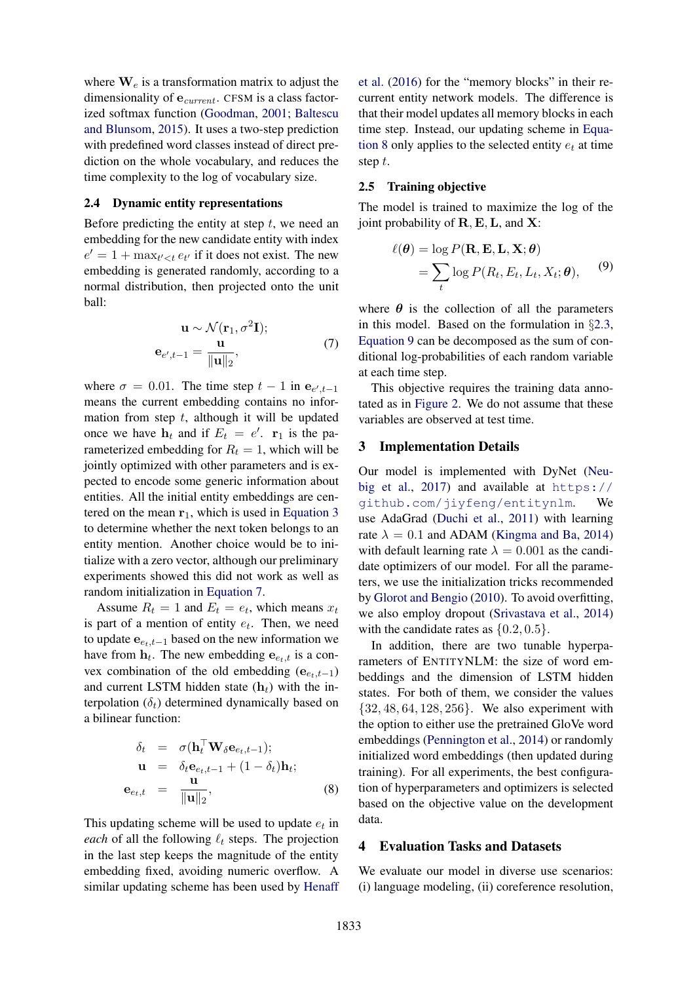where  $\mathbf{W}_e$  is a transformation matrix to adjust the dimensionality of  $e_{current}$ . CFSM is a class factorized softmax function (Goodman, 2001; Baltescu and Blunsom, 2015). It uses a two-step prediction with predefined word classes instead of direct prediction on the whole vocabulary, and reduces the time complexity to the log of vocabulary size.

#### 2.4 Dynamic entity representations

Before predicting the entity at step  $t$ , we need an embedding for the new candidate entity with index  $e' = 1 + \max_{t' < t} e_{t'}$  if it does not exist. The new embedding is generated randomly, according to a normal distribution, then projected onto the unit ball:

$$
\mathbf{u} \sim \mathcal{N}(\mathbf{r}_1, \sigma^2 \mathbf{I});
$$
  

$$
\mathbf{e}_{e', t-1} = \frac{\mathbf{u}}{\|\mathbf{u}\|_2},
$$
 (7)

where  $\sigma = 0.01$ . The time step  $t - 1$  in  $e_{e', t-1}$ means the current embedding contains no information from step  $t$ , although it will be updated once we have  $\mathbf{h}_t$  and if  $E_t = e'$ .  $\mathbf{r}_1$  is the parameterized embedding for  $R_t = 1$ , which will be jointly optimized with other parameters and is expected to encode some generic information about entities. All the initial entity embeddings are centered on the mean  $r_1$ , which is used in Equation 3 to determine whether the next token belongs to an entity mention. Another choice would be to initialize with a zero vector, although our preliminary experiments showed this did not work as well as random initialization in Equation 7.

Assume  $R_t = 1$  and  $E_t = e_t$ , which means  $x_t$ is part of a mention of entity  $e_t$ . Then, we need to update  $e_{e_t,t-1}$  based on the new information we have from  $\mathbf{h}_t$ . The new embedding  $\mathbf{e}_{e_t,t}$  is a convex combination of the old embedding  $(e_{e,t-1})$ and current LSTM hidden state  $(h_t)$  with the interpolation  $(\delta_t)$  determined dynamically based on a bilinear function:

$$
\delta_t = \sigma(\mathbf{h}_t^{\top} \mathbf{W}_{\delta} \mathbf{e}_{e_t, t-1});
$$
  
\n
$$
\mathbf{u} = \delta_t \mathbf{e}_{e_t, t-1} + (1 - \delta_t) \mathbf{h}_t;
$$
  
\n
$$
\mathbf{e}_{e_t, t} = \frac{\mathbf{u}}{\|\mathbf{u}\|_2},
$$
\n(8)

This updating scheme will be used to update  $e_t$  in *each* of all the following  $\ell_t$  steps. The projection in the last step keeps the magnitude of the entity embedding fixed, avoiding numeric overflow. A similar updating scheme has been used by Henaff

et al. (2016) for the "memory blocks" in their recurrent entity network models. The difference is that their model updates all memory blocks in each time step. Instead, our updating scheme in Equation 8 only applies to the selected entity  $e_t$  at time step t.

### 2.5 Training objective

The model is trained to maximize the log of the joint probability of  $\mathbf{R}, \mathbf{E}, \mathbf{L}$ , and  $\mathbf{X}$ :

$$
\ell(\boldsymbol{\theta}) = \log P(\mathbf{R}, \mathbf{E}, \mathbf{L}, \mathbf{X}; \boldsymbol{\theta})
$$
  
= 
$$
\sum_{t} \log P(R_t, E_t, L_t, X_t; \boldsymbol{\theta}), \qquad (9)
$$

where  $\theta$  is the collection of all the parameters in this model. Based on the formulation in §2.3, Equation 9 can be decomposed as the sum of conditional log-probabilities of each random variable at each time step.

This objective requires the training data annotated as in Figure 2. We do not assume that these variables are observed at test time.

#### 3 Implementation Details

Our model is implemented with DyNet (Neubig et al., 2017) and available at  $https://$ github.com/jiyfeng/entitynlm. We use AdaGrad (Duchi et al., 2011) with learning rate  $\lambda = 0.1$  and ADAM (Kingma and Ba, 2014) with default learning rate  $\lambda = 0.001$  as the candidate optimizers of our model. For all the parameters, we use the initialization tricks recommended by Glorot and Bengio (2010). To avoid overfitting, we also employ dropout (Srivastava et al., 2014) with the candidate rates as  $\{0.2, 0.5\}.$ 

In addition, there are two tunable hyperparameters of ENTITYNLM: the size of word embeddings and the dimension of LSTM hidden states. For both of them, we consider the values {32, 48, 64, 128, 256}. We also experiment with the option to either use the pretrained GloVe word embeddings (Pennington et al., 2014) or randomly initialized word embeddings (then updated during training). For all experiments, the best configuration of hyperparameters and optimizers is selected based on the objective value on the development data.

### 4 Evaluation Tasks and Datasets

We evaluate our model in diverse use scenarios: (i) language modeling, (ii) coreference resolution,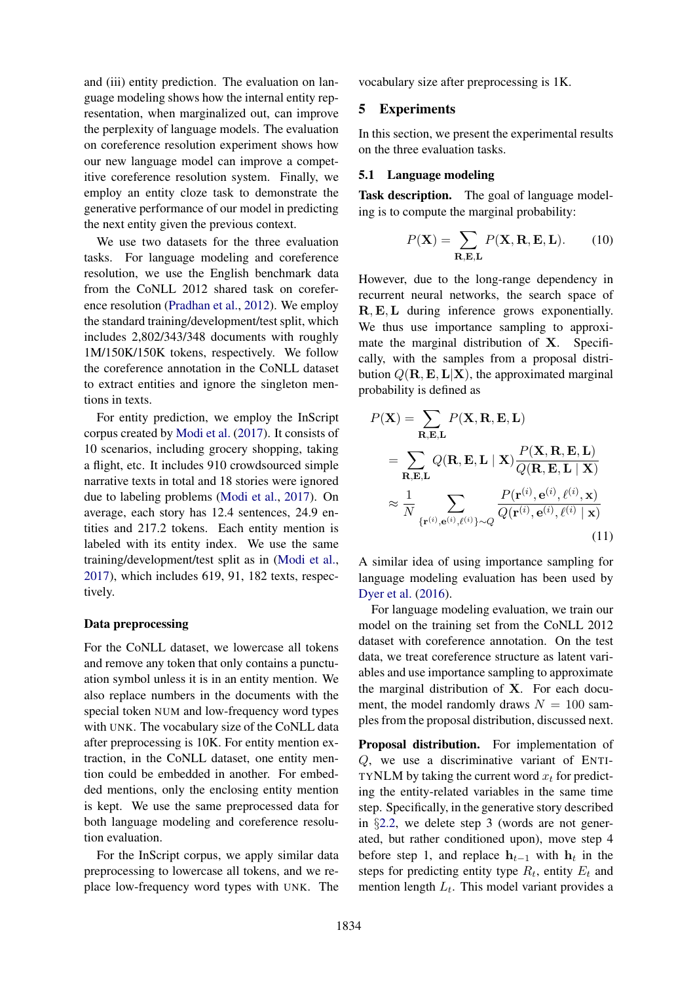and (iii) entity prediction. The evaluation on language modeling shows how the internal entity representation, when marginalized out, can improve the perplexity of language models. The evaluation on coreference resolution experiment shows how our new language model can improve a competitive coreference resolution system. Finally, we employ an entity cloze task to demonstrate the generative performance of our model in predicting the next entity given the previous context.

We use two datasets for the three evaluation tasks. For language modeling and coreference resolution, we use the English benchmark data from the CoNLL 2012 shared task on coreference resolution (Pradhan et al., 2012). We employ the standard training/development/test split, which includes 2,802/343/348 documents with roughly 1M/150K/150K tokens, respectively. We follow the coreference annotation in the CoNLL dataset to extract entities and ignore the singleton mentions in texts.

For entity prediction, we employ the InScript corpus created by Modi et al. (2017). It consists of 10 scenarios, including grocery shopping, taking a flight, etc. It includes 910 crowdsourced simple narrative texts in total and 18 stories were ignored due to labeling problems (Modi et al., 2017). On average, each story has 12.4 sentences, 24.9 entities and 217.2 tokens. Each entity mention is labeled with its entity index. We use the same training/development/test split as in (Modi et al., 2017), which includes 619, 91, 182 texts, respectively.

#### Data preprocessing

For the CoNLL dataset, we lowercase all tokens and remove any token that only contains a punctuation symbol unless it is in an entity mention. We also replace numbers in the documents with the special token NUM and low-frequency word types with UNK. The vocabulary size of the CoNLL data after preprocessing is 10K. For entity mention extraction, in the CoNLL dataset, one entity mention could be embedded in another. For embedded mentions, only the enclosing entity mention is kept. We use the same preprocessed data for both language modeling and coreference resolution evaluation.

For the InScript corpus, we apply similar data preprocessing to lowercase all tokens, and we replace low-frequency word types with UNK. The vocabulary size after preprocessing is 1K.

### 5 Experiments

In this section, we present the experimental results on the three evaluation tasks.

#### 5.1 Language modeling

Task description. The goal of language modeling is to compute the marginal probability:

$$
P(\mathbf{X}) = \sum_{\mathbf{R}, \mathbf{E}, \mathbf{L}} P(\mathbf{X}, \mathbf{R}, \mathbf{E}, \mathbf{L}).
$$
 (10)

However, due to the long-range dependency in recurrent neural networks, the search space of R, E,L during inference grows exponentially. We thus use importance sampling to approximate the marginal distribution of **X**. Specifically, with the samples from a proposal distribution  $Q(\mathbf{R}, \mathbf{E}, \mathbf{L}|\mathbf{X})$ , the approximated marginal probability is defined as

$$
P(\mathbf{X}) = \sum_{\mathbf{R}, \mathbf{E}, \mathbf{L}} P(\mathbf{X}, \mathbf{R}, \mathbf{E}, \mathbf{L})
$$
  
= 
$$
\sum_{\mathbf{R}, \mathbf{E}, \mathbf{L}} Q(\mathbf{R}, \mathbf{E}, \mathbf{L} | \mathbf{X}) \frac{P(\mathbf{X}, \mathbf{R}, \mathbf{E}, \mathbf{L})}{Q(\mathbf{R}, \mathbf{E}, \mathbf{L} | \mathbf{X})}
$$
  

$$
\approx \frac{1}{N} \sum_{\{\mathbf{r}^{(i)}, \mathbf{e}^{(i)}, \ell^{(i)}\} \sim Q} \frac{P(\mathbf{r}^{(i)}, \mathbf{e}^{(i)}, \ell^{(i)}, \mathbf{x})}{Q(\mathbf{r}^{(i)}, \mathbf{e}^{(i)}, \ell^{(i)} | \mathbf{x})}
$$
(11)

A similar idea of using importance sampling for language modeling evaluation has been used by Dyer et al. (2016).

For language modeling evaluation, we train our model on the training set from the CoNLL 2012 dataset with coreference annotation. On the test data, we treat coreference structure as latent variables and use importance sampling to approximate the marginal distribution of X. For each document, the model randomly draws  $N = 100$  samples from the proposal distribution, discussed next.

Proposal distribution. For implementation of Q, we use a discriminative variant of ENTI-TYNLM by taking the current word  $x_t$  for predicting the entity-related variables in the same time step. Specifically, in the generative story described in §2.2, we delete step 3 (words are not generated, but rather conditioned upon), move step 4 before step 1, and replace  $h_{t-1}$  with  $h_t$  in the steps for predicting entity type  $R_t$ , entity  $E_t$  and mention length  $L_t$ . This model variant provides a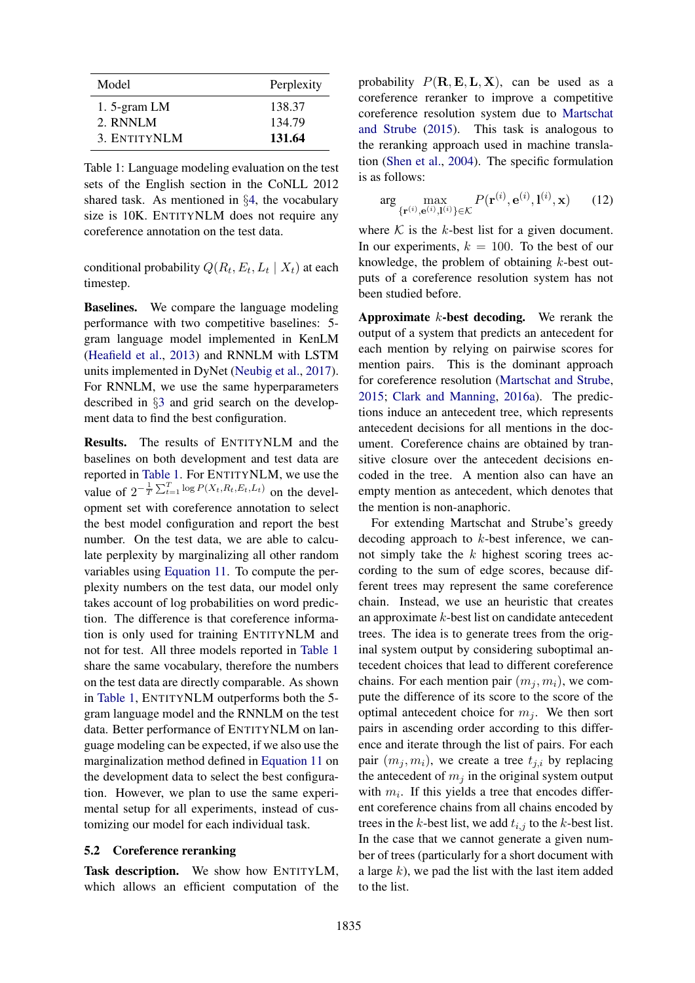| Model          | Perplexity |  |  |  |  |
|----------------|------------|--|--|--|--|
| 1. 5-gram $LM$ | 138.37     |  |  |  |  |
| 2. RNNLM       | 134.79     |  |  |  |  |
| 3. ENTITYNLM   | 131.64     |  |  |  |  |

Table 1: Language modeling evaluation on the test sets of the English section in the CoNLL 2012 shared task. As mentioned in §4, the vocabulary size is 10K. ENTITYNLM does not require any coreference annotation on the test data.

conditional probability  $Q(R_t, E_t, L_t | X_t)$  at each timestep.

Baselines. We compare the language modeling performance with two competitive baselines: 5 gram language model implemented in KenLM (Heafield et al., 2013) and RNNLM with LSTM units implemented in DyNet (Neubig et al., 2017). For RNNLM, we use the same hyperparameters described in §3 and grid search on the development data to find the best configuration.

Results. The results of ENTITYNLM and the baselines on both development and test data are reported in Table 1. For ENTITYNLM, we use the value of  $2^{-\frac{1}{T}\sum_{t=1}^{T}\log P(X_t, R_t, E_t, L_t)}$  on the development set with coreference annotation to select the best model configuration and report the best number. On the test data, we are able to calculate perplexity by marginalizing all other random variables using Equation 11. To compute the perplexity numbers on the test data, our model only takes account of log probabilities on word prediction. The difference is that coreference information is only used for training ENTITYNLM and not for test. All three models reported in Table 1 share the same vocabulary, therefore the numbers on the test data are directly comparable. As shown in Table 1, ENTITYNLM outperforms both the 5 gram language model and the RNNLM on the test data. Better performance of ENTITYNLM on language modeling can be expected, if we also use the marginalization method defined in Equation 11 on the development data to select the best configuration. However, we plan to use the same experimental setup for all experiments, instead of customizing our model for each individual task.

### 5.2 Coreference reranking

Task description. We show how ENTITYLM, which allows an efficient computation of the probability  $P(\mathbf{R}, \mathbf{E}, \mathbf{L}, \mathbf{X})$ , can be used as a coreference reranker to improve a competitive coreference resolution system due to Martschat and Strube (2015). This task is analogous to the reranking approach used in machine translation (Shen et al., 2004). The specific formulation is as follows:

$$
\arg\max_{\{\mathbf{r}^{(i)},\mathbf{e}^{(i)},\mathbf{l}^{(i)}\}\in\mathcal{K}} P(\mathbf{r}^{(i)},\mathbf{e}^{(i)},\mathbf{l}^{(i)},\mathbf{x})\qquad(12)
$$

where  $K$  is the k-best list for a given document. In our experiments,  $k = 100$ . To the best of our knowledge, the problem of obtaining  $k$ -best outputs of a coreference resolution system has not been studied before.

**Approximate**  $k$ -best decoding. We rerank the output of a system that predicts an antecedent for each mention by relying on pairwise scores for mention pairs. This is the dominant approach for coreference resolution (Martschat and Strube, 2015; Clark and Manning, 2016a). The predictions induce an antecedent tree, which represents antecedent decisions for all mentions in the document. Coreference chains are obtained by transitive closure over the antecedent decisions encoded in the tree. A mention also can have an empty mention as antecedent, which denotes that the mention is non-anaphoric.

For extending Martschat and Strube's greedy decoding approach to k-best inference, we cannot simply take the  $k$  highest scoring trees according to the sum of edge scores, because different trees may represent the same coreference chain. Instead, we use an heuristic that creates an approximate  $k$ -best list on candidate antecedent trees. The idea is to generate trees from the original system output by considering suboptimal antecedent choices that lead to different coreference chains. For each mention pair  $(m_i, m_i)$ , we compute the difference of its score to the score of the optimal antecedent choice for  $m_i$ . We then sort pairs in ascending order according to this difference and iterate through the list of pairs. For each pair  $(m_i, m_i)$ , we create a tree  $t_{j,i}$  by replacing the antecedent of  $m_i$  in the original system output with  $m_i$ . If this yields a tree that encodes different coreference chains from all chains encoded by trees in the k-best list, we add  $t_{i,j}$  to the k-best list. In the case that we cannot generate a given number of trees (particularly for a short document with a large  $k$ ), we pad the list with the last item added to the list.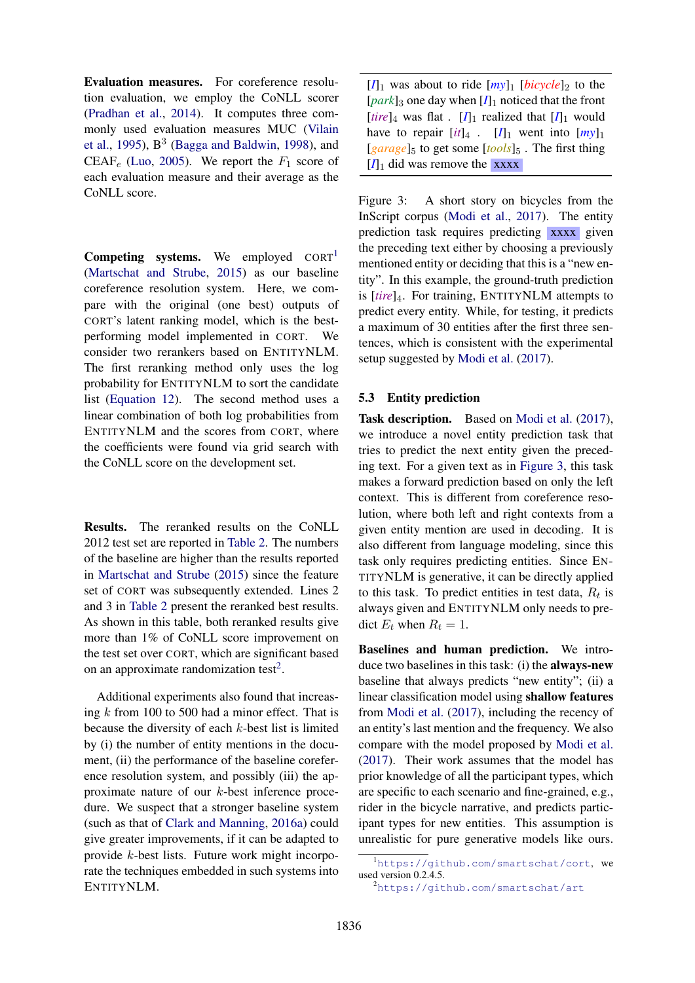Evaluation measures. For coreference resolution evaluation, we employ the CoNLL scorer (Pradhan et al., 2014). It computes three commonly used evaluation measures MUC (Vilain et al., 1995),  $B^3$  (Bagga and Baldwin, 1998), and CEAF<sub>e</sub> (Luo, 2005). We report the  $F_1$  score of each evaluation measure and their average as the CoNLL score.

**Competing systems.** We employed  $CORT<sup>1</sup>$ (Martschat and Strube, 2015) as our baseline coreference resolution system. Here, we compare with the original (one best) outputs of CORT's latent ranking model, which is the bestperforming model implemented in CORT. We consider two rerankers based on ENTITYNLM. The first reranking method only uses the log probability for ENTITYNLM to sort the candidate list (Equation 12). The second method uses a linear combination of both log probabilities from ENTITYNLM and the scores from CORT, where the coefficients were found via grid search with the CoNLL score on the development set.

Results. The reranked results on the CoNLL 2012 test set are reported in Table 2. The numbers of the baseline are higher than the results reported in Martschat and Strube (2015) since the feature set of CORT was subsequently extended. Lines 2 and 3 in Table 2 present the reranked best results. As shown in this table, both reranked results give more than 1% of CoNLL score improvement on the test set over CORT, which are significant based on an approximate randomization test<sup>2</sup>.

Additional experiments also found that increasing k from 100 to 500 had a minor effect. That is because the diversity of each k-best list is limited by (i) the number of entity mentions in the document, (ii) the performance of the baseline coreference resolution system, and possibly (iii) the approximate nature of our k-best inference procedure. We suspect that a stronger baseline system (such as that of Clark and Manning, 2016a) could give greater improvements, if it can be adapted to provide k-best lists. Future work might incorporate the techniques embedded in such systems into ENTITYNLM.

 $[I]_1$  was about to ride  $[my]_1$  [*bicycle*]<sub>2</sub> to the  $[park]_3$  one day when  $[I]_1$  noticed that the front [*tire*]<sub>4</sub> was flat . [*I*]<sub>1</sub> realized that  $[I]_1$  would have to repair  $[it]_4$ .  $[I]_1$  went into  $[my]_1$  $[g\text{ }arg\text{ }e]_5$  to get some  $[t\text{ }i\text{ }o\text{ }i\text{ }s]_5$ . The first thing  $[I]_1$  did was remove the xxxx

Figure 3: A short story on bicycles from the InScript corpus (Modi et al., 2017). The entity prediction task requires predicting xxxx given the preceding text either by choosing a previously mentioned entity or deciding that this is a "new entity". In this example, the ground-truth prediction is [*tire*]4. For training, ENTITYNLM attempts to predict every entity. While, for testing, it predicts a maximum of 30 entities after the first three sentences, which is consistent with the experimental setup suggested by Modi et al. (2017).

### 5.3 Entity prediction

Task description. Based on Modi et al. (2017), we introduce a novel entity prediction task that tries to predict the next entity given the preceding text. For a given text as in Figure 3, this task makes a forward prediction based on only the left context. This is different from coreference resolution, where both left and right contexts from a given entity mention are used in decoding. It is also different from language modeling, since this task only requires predicting entities. Since EN-TITYNLM is generative, it can be directly applied to this task. To predict entities in test data,  $R_t$  is always given and ENTITYNLM only needs to predict  $E_t$  when  $R_t = 1$ .

Baselines and human prediction. We introduce two baselines in this task: (i) the always-new baseline that always predicts "new entity"; (ii) a linear classification model using shallow features from Modi et al. (2017), including the recency of an entity's last mention and the frequency. We also compare with the model proposed by Modi et al. (2017). Their work assumes that the model has prior knowledge of all the participant types, which are specific to each scenario and fine-grained, e.g., rider in the bicycle narrative, and predicts participant types for new entities. This assumption is unrealistic for pure generative models like ours.

<sup>1</sup>https://github.com/smartschat/cort, we used version 0.2.4.5.

<sup>2</sup>https://github.com/smartschat/art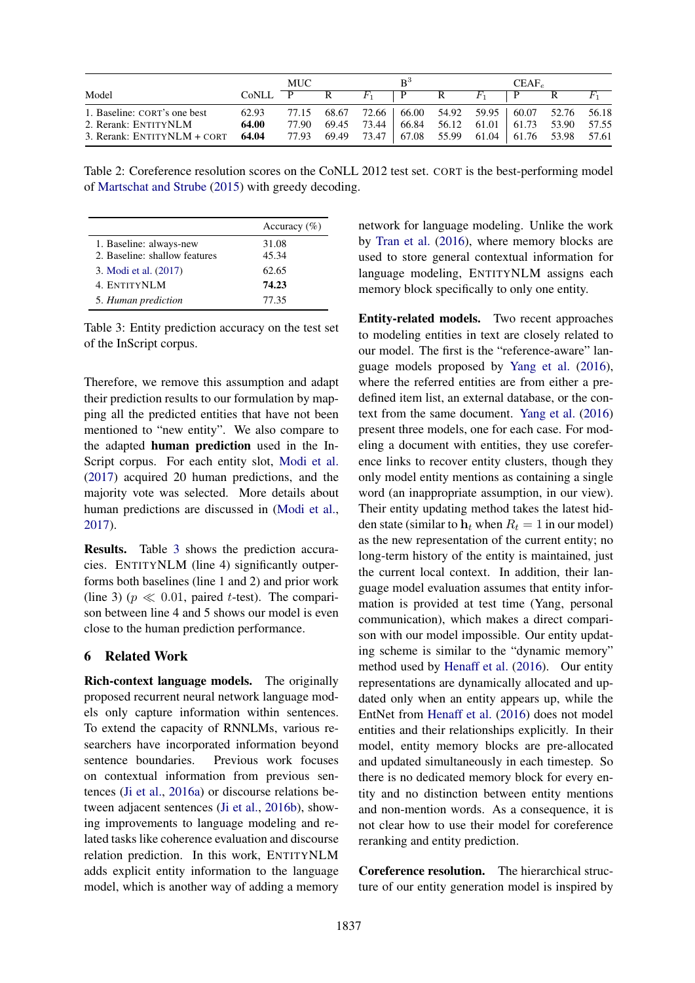|                                     | MUC     |  |   | $R^3$ |                                                       |  | CEAF <sub>e</sub> |              |   |       |
|-------------------------------------|---------|--|---|-------|-------------------------------------------------------|--|-------------------|--------------|---|-------|
| Model                               | CoNLL P |  | R |       | $F_1$   P R $F_1$                                     |  |                   | $\mathbf{P}$ | R | $F_1$ |
| 1. Baseline: CORT's one best        | 62.93   |  |   |       | 77.15 68.67 72.66 66.00 54.92 59.95 60.07 52.76 56.18 |  |                   |              |   |       |
| 2. Rerank: ENTITYNLM                | 64.00   |  |   |       | 77.90 69.45 73.44 66.84 56.12 61.01 61.73 53.90 57.55 |  |                   |              |   |       |
| 3. Rerank: $ENTITYNLM + CORT$ 64.04 |         |  |   |       | 77.93 69.49 73.47 67.08 55.99 61.04 61.76 53.98 57.61 |  |                   |              |   |       |

Table 2: Coreference resolution scores on the CoNLL 2012 test set. CORT is the best-performing model of Martschat and Strube (2015) with greedy decoding.

|                               | Accuracy $(\% )$ |
|-------------------------------|------------------|
| 1. Baseline: always-new       | 31.08            |
| 2. Baseline: shallow features | 45.34            |
| 3. Modi et al. (2017)         | 62.65            |
| 4. ENTITYNLM                  | 74.23            |
| 5. Human prediction           | 77.35            |

Table 3: Entity prediction accuracy on the test set of the InScript corpus.

Therefore, we remove this assumption and adapt their prediction results to our formulation by mapping all the predicted entities that have not been mentioned to "new entity". We also compare to the adapted human prediction used in the In-Script corpus. For each entity slot, Modi et al. (2017) acquired 20 human predictions, and the majority vote was selected. More details about human predictions are discussed in (Modi et al., 2017).

Results. Table 3 shows the prediction accuracies. ENTITYNLM (line 4) significantly outperforms both baselines (line 1 and 2) and prior work (line 3) ( $p \ll 0.01$ , paired t-test). The comparison between line 4 and 5 shows our model is even close to the human prediction performance.

## 6 Related Work

Rich-context language models. The originally proposed recurrent neural network language models only capture information within sentences. To extend the capacity of RNNLMs, various researchers have incorporated information beyond sentence boundaries. Previous work focuses on contextual information from previous sentences (Ji et al., 2016a) or discourse relations between adjacent sentences (Ji et al., 2016b), showing improvements to language modeling and related tasks like coherence evaluation and discourse relation prediction. In this work, ENTITYNLM adds explicit entity information to the language model, which is another way of adding a memory network for language modeling. Unlike the work by Tran et al. (2016), where memory blocks are used to store general contextual information for language modeling, ENTITYNLM assigns each memory block specifically to only one entity.

Entity-related models. Two recent approaches to modeling entities in text are closely related to our model. The first is the "reference-aware" language models proposed by Yang et al. (2016), where the referred entities are from either a predefined item list, an external database, or the context from the same document. Yang et al. (2016) present three models, one for each case. For modeling a document with entities, they use coreference links to recover entity clusters, though they only model entity mentions as containing a single word (an inappropriate assumption, in our view). Their entity updating method takes the latest hidden state (similar to  $h_t$  when  $R_t = 1$  in our model) as the new representation of the current entity; no long-term history of the entity is maintained, just the current local context. In addition, their language model evaluation assumes that entity information is provided at test time (Yang, personal communication), which makes a direct comparison with our model impossible. Our entity updating scheme is similar to the "dynamic memory" method used by Henaff et al. (2016). Our entity representations are dynamically allocated and updated only when an entity appears up, while the EntNet from Henaff et al. (2016) does not model entities and their relationships explicitly. In their model, entity memory blocks are pre-allocated and updated simultaneously in each timestep. So there is no dedicated memory block for every entity and no distinction between entity mentions and non-mention words. As a consequence, it is not clear how to use their model for coreference reranking and entity prediction.

Coreference resolution. The hierarchical structure of our entity generation model is inspired by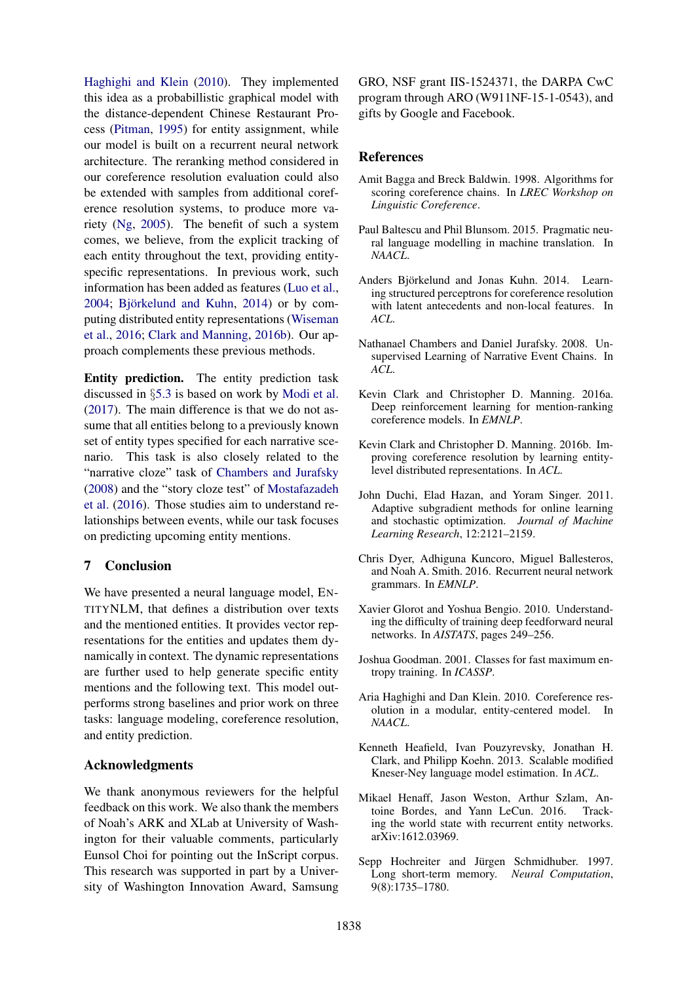Haghighi and Klein (2010). They implemented this idea as a probabillistic graphical model with the distance-dependent Chinese Restaurant Process (Pitman, 1995) for entity assignment, while our model is built on a recurrent neural network architecture. The reranking method considered in our coreference resolution evaluation could also be extended with samples from additional coreference resolution systems, to produce more variety (Ng, 2005). The benefit of such a system comes, we believe, from the explicit tracking of each entity throughout the text, providing entityspecific representations. In previous work, such information has been added as features (Luo et al.,  $2004$ : Björkelund and Kuhn,  $2014$ ) or by computing distributed entity representations (Wiseman et al., 2016; Clark and Manning, 2016b). Our approach complements these previous methods.

Entity prediction. The entity prediction task discussed in §5.3 is based on work by Modi et al. (2017). The main difference is that we do not assume that all entities belong to a previously known set of entity types specified for each narrative scenario. This task is also closely related to the "narrative cloze" task of Chambers and Jurafsky (2008) and the "story cloze test" of Mostafazadeh et al. (2016). Those studies aim to understand relationships between events, while our task focuses on predicting upcoming entity mentions.

## 7 Conclusion

We have presented a neural language model, EN-TITYNLM, that defines a distribution over texts and the mentioned entities. It provides vector representations for the entities and updates them dynamically in context. The dynamic representations are further used to help generate specific entity mentions and the following text. This model outperforms strong baselines and prior work on three tasks: language modeling, coreference resolution, and entity prediction.

### Acknowledgments

We thank anonymous reviewers for the helpful feedback on this work. We also thank the members of Noah's ARK and XLab at University of Washington for their valuable comments, particularly Eunsol Choi for pointing out the InScript corpus. This research was supported in part by a University of Washington Innovation Award, Samsung

GRO, NSF grant IIS-1524371, the DARPA CwC program through ARO (W911NF-15-1-0543), and gifts by Google and Facebook.

### References

- Amit Bagga and Breck Baldwin. 1998. Algorithms for scoring coreference chains. In *LREC Workshop on Linguistic Coreference*.
- Paul Baltescu and Phil Blunsom. 2015. Pragmatic neural language modelling in machine translation. In *NAACL*.
- Anders Björkelund and Jonas Kuhn. 2014. Learning structured perceptrons for coreference resolution with latent antecedents and non-local features. In *ACL*.
- Nathanael Chambers and Daniel Jurafsky. 2008. Unsupervised Learning of Narrative Event Chains. In *ACL*.
- Kevin Clark and Christopher D. Manning. 2016a. Deep reinforcement learning for mention-ranking coreference models. In *EMNLP*.
- Kevin Clark and Christopher D. Manning. 2016b. Improving coreference resolution by learning entitylevel distributed representations. In *ACL*.
- John Duchi, Elad Hazan, and Yoram Singer. 2011. Adaptive subgradient methods for online learning and stochastic optimization. *Journal of Machine Learning Research*, 12:2121–2159.
- Chris Dyer, Adhiguna Kuncoro, Miguel Ballesteros, and Noah A. Smith. 2016. Recurrent neural network grammars. In *EMNLP*.
- Xavier Glorot and Yoshua Bengio. 2010. Understanding the difficulty of training deep feedforward neural networks. In *AISTATS*, pages 249–256.
- Joshua Goodman. 2001. Classes for fast maximum entropy training. In *ICASSP*.
- Aria Haghighi and Dan Klein. 2010. Coreference resolution in a modular, entity-centered model. In *NAACL*.
- Kenneth Heafield, Ivan Pouzyrevsky, Jonathan H. Clark, and Philipp Koehn. 2013. Scalable modified Kneser-Ney language model estimation. In *ACL*.
- Mikael Henaff, Jason Weston, Arthur Szlam, Antoine Bordes, and Yann LeCun. 2016. Tracking the world state with recurrent entity networks. arXiv:1612.03969.
- Sepp Hochreiter and Jürgen Schmidhuber. 1997. Long short-term memory. *Neural Computation*, 9(8):1735–1780.